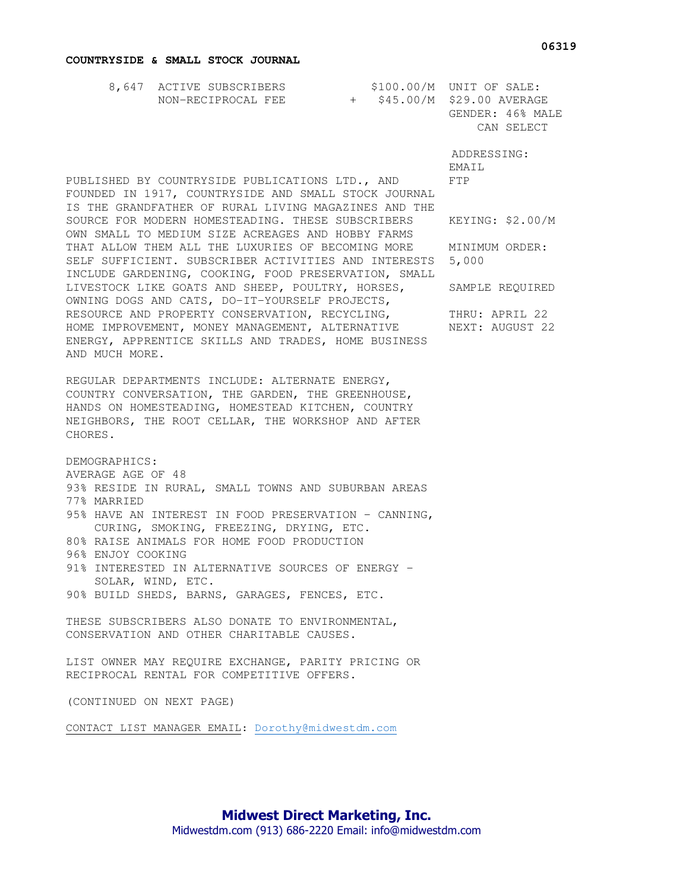## **COUNTRYSIDE & SMALL STOCK JOURNAL**

| 8,647 ACTIVE SUBSCRIBERS |  | $$100.00/M$ UNIT OF SALE:   |
|--------------------------|--|-----------------------------|
| NON-RECIPROCAL FEE       |  | + \$45.00/M \$29.00 AVERAGE |
|                          |  | GENDER: 46% MALE            |
|                          |  | CAN SELECT                  |

 ADDRESSING: EMATI.

PUBLISHED BY COUNTRYSIDE PUBLICATIONS LTD., AND FTP FOUNDED IN 1917, COUNTRYSIDE AND SMALL STOCK JOURNAL IS THE GRANDFATHER OF RURAL LIVING MAGAZINES AND THE SOURCE FOR MODERN HOMESTEADING. THESE SUBSCRIBERS KEYING: \$2.00/M OWN SMALL TO MEDIUM SIZE ACREAGES AND HOBBY FARMS THAT ALLOW THEM ALL THE LUXURIES OF BECOMING MORE MINIMUM ORDER: SELF SUFFICIENT. SUBSCRIBER ACTIVITIES AND INTERESTS 5,000 INCLUDE GARDENING, COOKING, FOOD PRESERVATION, SMALL LIVESTOCK LIKE GOATS AND SHEEP, POULTRY, HORSES, SAMPLE REQUIRED OWNING DOGS AND CATS, DO-IT-YOURSELF PROJECTS, RESOURCE AND PROPERTY CONSERVATION, RECYCLING, THRU: APRIL 22 HOME IMPROVEMENT, MONEY MANAGEMENT, ALTERNATIVE NEXT: AUGUST 22 ENERGY, APPRENTICE SKILLS AND TRADES, HOME BUSINESS AND MUCH MORE.

REGULAR DEPARTMENTS INCLUDE: ALTERNATE ENERGY, COUNTRY CONVERSATION, THE GARDEN, THE GREENHOUSE, HANDS ON HOMESTEADING, HOMESTEAD KITCHEN, COUNTRY NEIGHBORS, THE ROOT CELLAR, THE WORKSHOP AND AFTER CHORES.

DEMOGRAPHICS:

AVERAGE AGE OF 48

93% RESIDE IN RURAL, SMALL TOWNS AND SUBURBAN AREAS 77% MARRIED

95% HAVE AN INTEREST IN FOOD PRESERVATION - CANNING, CURING, SMOKING, FREEZING, DRYING, ETC. 80% RAISE ANIMALS FOR HOME FOOD PRODUCTION

96% ENJOY COOKING

91% INTERESTED IN ALTERNATIVE SOURCES OF ENERGY -SOLAR, WIND, ETC.

90% BUILD SHEDS, BARNS, GARAGES, FENCES, ETC.

THESE SUBSCRIBERS ALSO DONATE TO ENVIRONMENTAL, CONSERVATION AND OTHER CHARITABLE CAUSES.

LIST OWNER MAY REQUIRE EXCHANGE, PARITY PRICING OR RECIPROCAL RENTAL FOR COMPETITIVE OFFERS.

(CONTINUED ON NEXT PAGE)

CONTACT LIST MANAGER EMAIL: Dorothy@midwestdm.com